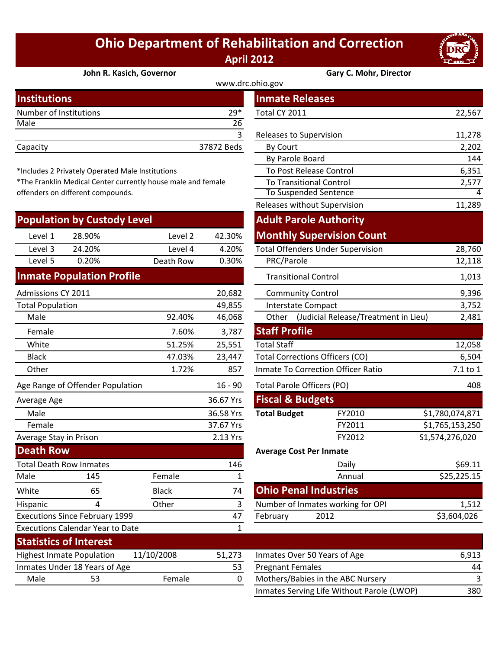## **Ohio Department of Rehabilitation and Correction April 2012**



**John R. Kasich, Governor Gary C. Mohr, Director**

| www.drc.ohio.gov       |            |                         |        |  |
|------------------------|------------|-------------------------|--------|--|
| <b>Institutions</b>    |            | <b>Inmate Releases</b>  |        |  |
| Number of Institutions | $29*$      | Total CY 2011           | 22,567 |  |
| Male                   | 26         |                         |        |  |
|                        |            | Releases to Supervision | 11,278 |  |
| Capacity               | 37872 Beds | By Court                | 2,202  |  |
|                        |            | _ _ _ _                 | .      |  |

\*Includes 2 Privately Operated Male Institutions

\*The Franklin Medical Center currently house male and female offenders on different compounds.

|                         | <b>Population by Custody Level</b>      |              |              |                                   | <b>Adult Parole Authority</b>            |                 |
|-------------------------|-----------------------------------------|--------------|--------------|-----------------------------------|------------------------------------------|-----------------|
| Level 1                 | 28.90%                                  | Level 2      | 42.30%       |                                   | <b>Monthly Supervision Count</b>         |                 |
| Level 3                 | 24.20%                                  | Level 4      | 4.20%        |                                   | <b>Total Offenders Under Supervision</b> | 28,760          |
| Level 5                 | 0.20%                                   | Death Row    | 0.30%        | PRC/Parole                        |                                          | 12,118          |
|                         | <b>Inmate Population Profile</b>        |              |              | <b>Transitional Control</b>       |                                          | 1,013           |
| Admissions CY 2011      |                                         |              | 20,682       | <b>Community Control</b>          |                                          | 9,396           |
| <b>Total Population</b> |                                         |              | 49,855       | <b>Interstate Compact</b>         |                                          | 3,752           |
| Male                    |                                         | 92.40%       | 46,068       | Other                             | (Judicial Release/Treatment in Lieu)     | 2,481           |
| Female                  |                                         | 7.60%        | 3,787        | <b>Staff Profile</b>              |                                          |                 |
| White                   |                                         | 51.25%       | 25,551       | <b>Total Staff</b>                |                                          | 12,058          |
| <b>Black</b>            |                                         | 47.03%       | 23,447       |                                   | <b>Total Corrections Officers (CO)</b>   | 6,504           |
| Other                   |                                         | 1.72%        | 857          |                                   | Inmate To Correction Officer Ratio       | 7.1 to 1        |
|                         | Age Range of Offender Population        |              | $16 - 90$    | <b>Total Parole Officers (PO)</b> |                                          | 408             |
| Average Age             |                                         |              | 36.67 Yrs    | <b>Fiscal &amp; Budgets</b>       |                                          |                 |
| Male                    |                                         |              | 36.58 Yrs    | <b>Total Budget</b>               | FY2010                                   | \$1,780,074,871 |
| Female                  |                                         |              | 37.67 Yrs    |                                   | FY2011                                   | \$1,765,153,250 |
| Average Stay in Prison  |                                         |              | 2.13 Yrs     |                                   | FY2012                                   | S1,574,276,020  |
| <b>Death Row</b>        |                                         |              |              | <b>Average Cost Per Inmate</b>    |                                          |                 |
|                         | <b>Total Death Row Inmates</b>          |              | 146          |                                   | Daily                                    | \$69.11         |
| Male                    | 145                                     | Female       | 1            |                                   | Annual                                   | \$25,225.15     |
| White                   | 65                                      | <b>Black</b> | 74           |                                   | <b>Ohio Penal Industries</b>             |                 |
| Hispanic                | 4                                       | Other        | 3            |                                   | Number of Inmates working for OPI        | 1,512           |
|                         | <b>Executions Since February 1999</b>   |              | 47           | February                          | 2012                                     | \$3,604,026     |
|                         | <b>Executions Calendar Year to Date</b> |              | $\mathbf{1}$ |                                   |                                          |                 |
|                         | <b>Statistics of Interest</b>           |              |              |                                   |                                          |                 |
|                         | <b>Highest Inmate Population</b>        | 11/10/2008   | 51,273       |                                   | Inmates Over 50 Years of Age             | 6,913           |
|                         | Inmates Under 18 Years of Age           |              | 53           | <b>Pregnant Females</b>           |                                          | 44              |
| Male                    | 53                                      | Female       | 0            |                                   | Mothers/Babies in the ABC Nursery        | 3               |

| stitutions                                                |              |                | <b>Inmate Releases</b>         |                                            |                 |
|-----------------------------------------------------------|--------------|----------------|--------------------------------|--------------------------------------------|-----------------|
| mber of Institutions                                      |              | $29*$          | Total CY 2011                  |                                            | 22,567          |
| le                                                        |              | 26             |                                |                                            |                 |
|                                                           |              | $\overline{3}$ | Releases to Supervision        |                                            | 11,278          |
| acity                                                     |              | 37872 Beds     | By Court                       |                                            | 2,202           |
|                                                           |              |                | By Parole Board                |                                            | 144             |
| cludes 2 Privately Operated Male Institutions             |              |                |                                | To Post Release Control                    | 6,351           |
| e Franklin Medical Center currently house male and female |              |                |                                | <b>To Transitional Control</b>             | 2,577           |
| nders on different compounds.                             |              |                |                                | <b>To Suspended Sentence</b>               | 4               |
|                                                           |              |                |                                | Releases without Supervision               | 11,289          |
| pulation by Custody Level                                 |              |                |                                | <b>Adult Parole Authority</b>              |                 |
| Level 1<br>28.90%                                         | Level 2      | 42.30%         |                                | <b>Monthly Supervision Count</b>           |                 |
| Level 3<br>24.20%                                         | Level 4      | 4.20%          |                                | <b>Total Offenders Under Supervision</b>   | 28,760          |
| Level 5<br>0.20%                                          | Death Row    | 0.30%          | PRC/Parole                     |                                            | 12,118          |
| nate Population Profile                                   |              |                | <b>Transitional Control</b>    |                                            | 1,013           |
| missions CY 2011                                          |              | 20,682         | <b>Community Control</b>       |                                            | 9,396           |
| al Population                                             |              | 49,855         | <b>Interstate Compact</b>      |                                            | 3,752           |
| Male                                                      | 92.40%       | 46,068         |                                | Other (Judicial Release/Treatment in Lieu) | 2,481           |
| Female                                                    | 7.60%        | 3,787          | <b>Staff Profile</b>           |                                            |                 |
| <b>Nhite</b>                                              | 51.25%       | 25,551         | <b>Total Staff</b>             |                                            | 12,058          |
| <b>Black</b>                                              | 47.03%       | 23,447         |                                | <b>Total Corrections Officers (CO)</b>     | 6,504           |
| <b>Other</b>                                              | 1.72%        | 857            |                                | <b>Inmate To Correction Officer Ratio</b>  | 7.1 to 1        |
| Range of Offender Population                              |              | $16 - 90$      | Total Parole Officers (PO)     |                                            | 408             |
| rage Age                                                  |              | 36.67 Yrs      | <b>Fiscal &amp; Budgets</b>    |                                            |                 |
| Vlale                                                     |              | 36.58 Yrs      | <b>Total Budget</b>            | FY2010                                     | \$1,780,074,871 |
| Female                                                    |              | 37.67 Yrs      |                                | FY2011                                     | \$1,765,153,250 |
| rage Stay in Prison                                       |              | 2.13 Yrs       |                                | FY2012                                     | S1,574,276,020  |
| ath Row                                                   |              |                | <b>Average Cost Per Inmate</b> |                                            |                 |
| al Death Row Inmates                                      |              | 146            |                                | Daily                                      | \$69.11         |
| le<br>145                                                 | Female       | $\mathbf{1}$   |                                | Annual                                     | \$25,225.15     |
| 65<br>ite                                                 | <b>Black</b> | 74             |                                | <b>Ohio Penal Industries</b>               |                 |
| panic<br>4                                                | Other        | 3              |                                | Number of Inmates working for OPI          | 1,512           |
| cutions Since February 1999                               |              | 47             | February                       | 2012                                       | \$3,604,026     |
| qutions Colondor Voorto Doto                              |              |                |                                |                                            |                 |

| 51,273 | Inmates Over 50 Years of Age               | 6.913 |
|--------|--------------------------------------------|-------|
| 53     | <b>Pregnant Females</b>                    | 44    |
| 0      | Mothers/Babies in the ABC Nursery          |       |
|        | Inmates Serving Life Without Parole (LWOP) | 380   |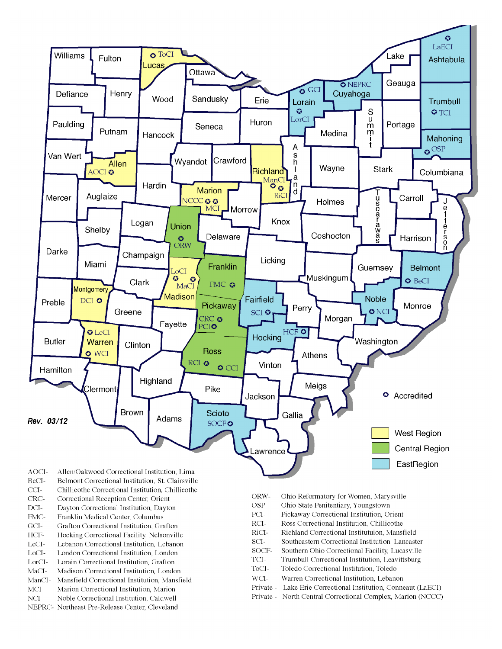

- BeCI-Belmont Correctional Institution, St. Clairsville
- $CCI-$ Chillicothe Correctional Institution, Chillicothe
- Correctional Reception Center, Orient CRC-
- $DCI-$ Dayton Correctional Institution, Dayton
- FMC-Franklin Medical Center, Columbus
- $\rm{GCI}\mbox{-}$ Grafton Correctional Institution, Grafton
- HCF-Hocking Correctional Facility, Nelsonville
- LeCI-Lebanon Correctional Institution, Lebanon
- LoCI-London Correctional Institution. London
- $\operatorname{LorCl-}$ Lorain Correctional Institution, Grafton
- $MaCI-$ Madison Correctional Institution, London
- ManCI-Mansfield Correctional Institution, Mansfield MCI-Marion Correctional Institution, Marion
- Noble Correctional Institution, Caldwell
- NCI-NEPRC- Northeast Pre-Release Center, Cleveland
- ORW-Ohio Reformatory for Women, Marysville
- OSP-Ohio State Penitentiary, Youngstown
- PCI-Pickaway Correctional Institution, Orient
- $\rm RCI-$ Ross Correctional Institution, Chillicothe
- RiCI-Richland Correctional Institutuion, Mansfield
- SCI-Southeastern Correctional Institution, Lancaster
- SOCF-Southern Ohio Correctional Facility, Lucasville
- TCI-Trumbull Correctional Institution, Leavittsburg
- ToCI-Toledo Correctional Institution, Toledo
- $WCI-$ Warren Correctional Institution, Lebanon
- Private Lake Erie Correctional Institution, Conneaut (LaECI)
- Private North Central Correctional Complex, Marion (NCCC)